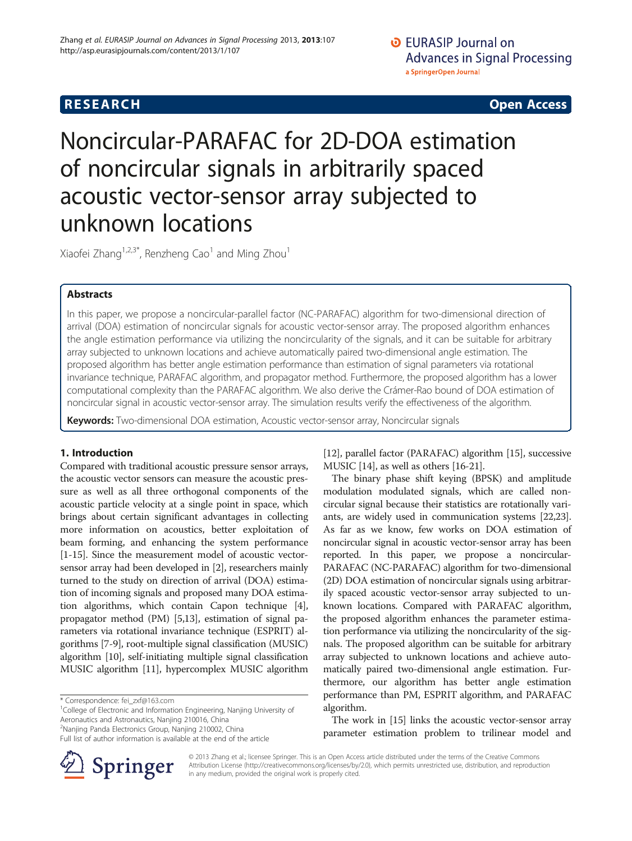## **RESEARCH RESEARCH CONSUMING ACCESS**

# Noncircular-PARAFAC for 2D-DOA estimation of noncircular signals in arbitrarily spaced acoustic vector-sensor array subjected to unknown locations

Xiaofei Zhang<sup>1,2,3\*</sup>, Renzheng Cao<sup>1</sup> and Ming Zhou<sup>1</sup>

## **Abstracts**

In this paper, we propose a noncircular-parallel factor (NC-PARAFAC) algorithm for two-dimensional direction of arrival (DOA) estimation of noncircular signals for acoustic vector-sensor array. The proposed algorithm enhances the angle estimation performance via utilizing the noncircularity of the signals, and it can be suitable for arbitrary array subjected to unknown locations and achieve automatically paired two-dimensional angle estimation. The proposed algorithm has better angle estimation performance than estimation of signal parameters via rotational invariance technique, PARAFAC algorithm, and propagator method. Furthermore, the proposed algorithm has a lower computational complexity than the PARAFAC algorithm. We also derive the Crámer-Rao bound of DOA estimation of noncircular signal in acoustic vector-sensor array. The simulation results verify the effectiveness of the algorithm.

Keywords: Two-dimensional DOA estimation, Acoustic vector-sensor array, Noncircular signals

## 1. Introduction

Compared with traditional acoustic pressure sensor arrays, the acoustic vector sensors can measure the acoustic pressure as well as all three orthogonal components of the acoustic particle velocity at a single point in space, which brings about certain significant advantages in collecting more information on acoustics, better exploitation of beam forming, and enhancing the system performance [[1-15\]](#page-8-0). Since the measurement model of acoustic vectorsensor array had been developed in [\[2](#page-8-0)], researchers mainly turned to the study on direction of arrival (DOA) estimation of incoming signals and proposed many DOA estimation algorithms, which contain Capon technique [[4](#page-8-0)], propagator method (PM) [\[5,13\]](#page-8-0), estimation of signal parameters via rotational invariance technique (ESPRIT) algorithms [\[7-9](#page-8-0)], root-multiple signal classification (MUSIC) algorithm [\[10\]](#page-8-0), self-initiating multiple signal classification MUSIC algorithm [\[11](#page-8-0)], hypercomplex MUSIC algorithm

\* Correspondence: [fei\\_zxf@163.com](mailto:fei_zxf@163.com) <sup>1</sup>

<sup>1</sup>College of Electronic and Information Engineering, Nanjing University of Aeronautics and Astronautics, Nanjing 210016, China

2 Nanjing Panda Electronics Group, Nanjing 210002, China



The binary phase shift keying (BPSK) and amplitude modulation modulated signals, which are called noncircular signal because their statistics are rotationally variants, are widely used in communication systems [\[22,23](#page-8-0)]. As far as we know, few works on DOA estimation of noncircular signal in acoustic vector-sensor array has been reported. In this paper, we propose a noncircular-PARAFAC (NC-PARAFAC) algorithm for two-dimensional (2D) DOA estimation of noncircular signals using arbitrarily spaced acoustic vector-sensor array subjected to unknown locations. Compared with PARAFAC algorithm, the proposed algorithm enhances the parameter estimation performance via utilizing the noncircularity of the signals. The proposed algorithm can be suitable for arbitrary array subjected to unknown locations and achieve automatically paired two-dimensional angle estimation. Furthermore, our algorithm has better angle estimation performance than PM, ESPRIT algorithm, and PARAFAC algorithm.

The work in [\[15\]](#page-8-0) links the acoustic vector-sensor array parameter estimation problem to trilinear model and



© 2013 Zhang et al.; licensee Springer. This is an Open Access article distributed under the terms of the Creative Commons Attribution License [\(http://creativecommons.org/licenses/by/2.0\)](http://creativecommons.org/licenses/by/2.0), which permits unrestricted use, distribution, and reproduction in any medium, provided the original work is properly cited.

Full list of author information is available at the end of the article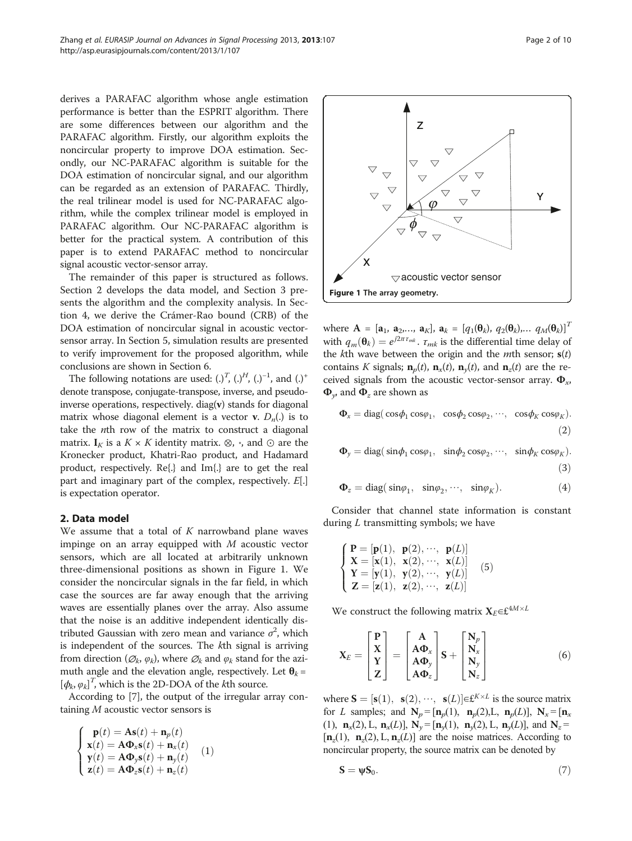derives a PARAFAC algorithm whose angle estimation performance is better than the ESPRIT algorithm. There are some differences between our algorithm and the PARAFAC algorithm. Firstly, our algorithm exploits the noncircular property to improve DOA estimation. Secondly, our NC-PARAFAC algorithm is suitable for the DOA estimation of noncircular signal, and our algorithm can be regarded as an extension of PARAFAC. Thirdly, the real trilinear model is used for NC-PARAFAC algorithm, while the complex trilinear model is employed in PARAFAC algorithm. Our NC-PARAFAC algorithm is better for the practical system. A contribution of this paper is to extend PARAFAC method to noncircular signal acoustic vector-sensor array.

The remainder of this paper is structured as follows. Section 2 develops the data model, and Section [3](#page-2-0) presents the algorithm and the complexity analysis. In Section [4](#page-4-0), we derive the Crámer-Rao bound (CRB) of the DOA estimation of noncircular signal in acoustic vectorsensor array. In Section [5](#page-7-0), simulation results are presented to verify improvement for the proposed algorithm, while conclusions are shown in Section [6.](#page-8-0)

The following notations are used:  $(.)^T$ ,  $(.)^H$ ,  $(.)^{-1}$ , and  $(.)^+$ denote transpose, conjugate-transpose, inverse, and pseudoinverse operations, respectively. diag(v) stands for diagonal matrix whose diagonal element is a vector **v**.  $D_n(.)$  is to take the nth row of the matrix to construct a diagonal matrix.  $I_K$  is a  $K \times K$  identity matrix. ⊗, ∘, and ⊙ are the Kronecker product, Khatri-Rao product, and Hadamard product, respectively. Re{.} and Im{.} are to get the real part and imaginary part of the complex, respectively. E[.] is expectation operator.

### 2. Data model

We assume that a total of  $K$  narrowband plane waves impinge on an array equipped with  $M$  acoustic vector sensors, which are all located at arbitrarily unknown three-dimensional positions as shown in Figure 1. We consider the noncircular signals in the far field, in which case the sources are far away enough that the arriving waves are essentially planes over the array. Also assume that the noise is an additive independent identically distributed Gaussian with zero mean and variance  $\sigma^2$ , which is independent of the sources. The kth signal is arriving from direction ( $\mathcal{O}_k$ ,  $\varphi_k$ ), where  $\mathcal{O}_k$  and  $\varphi_k$  stand for the azimuth angle and the elevation angle, respectively. Let  $\theta_k =$  $[\phi_k, \phi_k]^T$ , which is the 2D-DOA of the *k*th source.

According to [\[7](#page-8-0)], the output of the irregular array containing  $M$  acoustic vector sensors is

$$
\begin{cases}\n\mathbf{p}(t) = \mathbf{As}(t) + \mathbf{n}_p(t) \\
\mathbf{x}(t) = \mathbf{A}\mathbf{\Phi}_x\mathbf{s}(t) + \mathbf{n}_x(t) \\
\mathbf{y}(t) = \mathbf{A}\mathbf{\Phi}_y\mathbf{s}(t) + \mathbf{n}_y(t) \\
\mathbf{z}(t) = \mathbf{A}\mathbf{\Phi}_z\mathbf{s}(t) + \mathbf{n}_z(t)\n\end{cases} (1)
$$



where  $A = [\mathbf{a}_1, \mathbf{a}_2,..., \mathbf{a}_K], \mathbf{a}_k = [q_1(\mathbf{\theta}_k), q_2(\mathbf{\theta}_k),..., q_M(\mathbf{\theta}_k)]^T$ with  $q_m(\mathbf{\theta}_k) = e^{j2\pi \tau_{mk}} \cdot \tau_{mk}$  is the differential time delay of the kth wave between the origin and the *m*th sensor;  $s(t)$ contains K signals;  $\mathbf{n}_p(t)$ ,  $\mathbf{n}_x(t)$ ,  $\mathbf{n}_y(t)$ , and  $\mathbf{n}_z(t)$  are the received signals from the acoustic vector-sensor array.  $\Phi_{x}$ ,  $\Phi_{\nu}$ , and  $\Phi_{z}$  are shown as

$$
\Phi_x = \text{diag}(\cos\phi_1 \cos\phi_1, \cos\phi_2 \cos\phi_2, \cdots, \cos\phi_K \cos\phi_K). \tag{2}
$$

$$
\Phi_y = \text{diag}(\sin\phi_1 \cos\phi_1, \sin\phi_2 \cos\phi_2, \cdots, \sin\phi_K \cos\phi_K). \tag{3}
$$

$$
\mathbf{\Phi}_z = \text{diag}(\sin\varphi_1, \quad \sin\varphi_2, \cdots, \quad \sin\varphi_K). \tag{4}
$$

Consider that channel state information is constant during  $L$  transmitting symbols; we have

$$
\left\{\begin{array}{ll} {\bf P}=[{\bf p}(1), \ \ {\bf p}(2), \cdots, \ \ {\bf p}(L)] \cr {\bf X}=[{\bf x}(1), \ \ {\bf x}(2), \cdots, \ \ {\bf x}(L)] \cr {\bf Y}=[{\bf y}(1), \ \ {\bf y}(2), \cdots, \ \ {\bf y}(L)] \cr {\bf Z}=[{\bf z}(1), \ \ {\bf z}(2), \cdots, \ \ {\bf z}(L)] \end{array}\right. (5)
$$

We construct the following matrix  $X_E \in \mathbb{E}^{4M \times L}$ 

$$
\mathbf{X}_E = \begin{bmatrix} \mathbf{P} \\ \mathbf{X} \\ \mathbf{Y} \\ \mathbf{Z} \end{bmatrix} = \begin{bmatrix} \mathbf{A} \\ \mathbf{A}\mathbf{\Phi}_x \\ \mathbf{A}\mathbf{\Phi}_y \\ \mathbf{A}\mathbf{\Phi}_z \end{bmatrix} \mathbf{S} + \begin{bmatrix} \mathbf{N}_p \\ \mathbf{N}_x \\ \mathbf{N}_y \\ \mathbf{N}_z \end{bmatrix}
$$
(6)

where  $\mathbf{S} = [\mathbf{s}(1), \mathbf{s}(2), \cdots, \mathbf{s}(L)] \in \mathbb{R}^{K \times L}$  is the source matrix for L samples: and  $\mathbf{N} = [\mathbf{n}(1), \mathbf{n}(2) \mathbf{I} \mathbf{n}(L)] \mathbf{N} = [\mathbf{n}(L)] \mathbf{n}(L)$ for L samples; and  $N_p = [\mathbf{n}_p(1), \mathbf{n}_p(2), L, \mathbf{n}_p(L)]$ ,  $N_x = [\mathbf{n}_x$ (1),  $\mathbf{n}_x(2)$ , L,  $\mathbf{n}_x(L)$ ],  $\mathbf{N}_y = [\mathbf{n}_y(1), \mathbf{n}_y(2), L, \mathbf{n}_y(L)]$ , and  $\mathbf{N}_z =$  $[\mathbf{n}_z(1), \mathbf{n}_z(2), \mathbf{L}, \mathbf{n}_z(L)]$  are the noise matrices. According to noncircular property, the source matrix can be denoted by

$$
\mathbf{S} = \mathbf{\psi} \mathbf{S}_0. \tag{7}
$$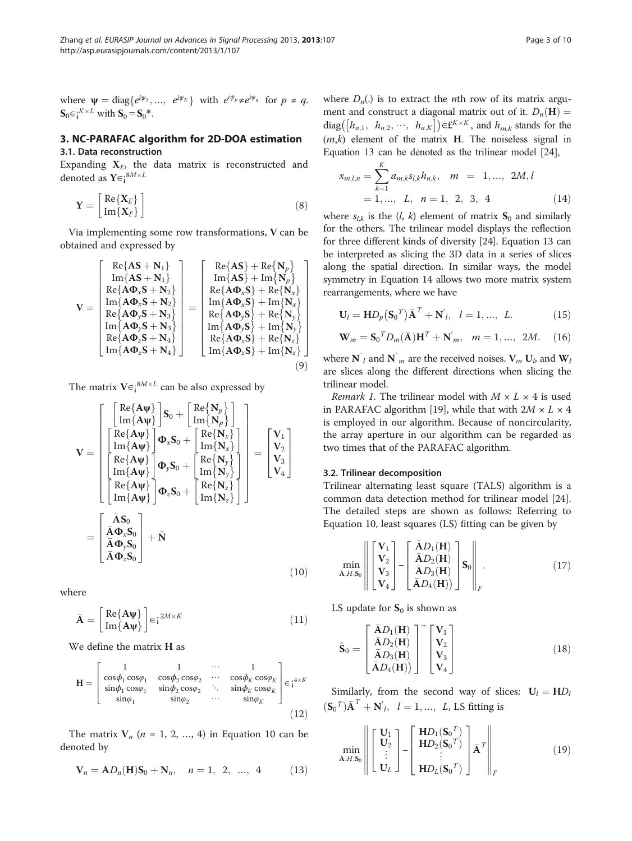<span id="page-2-0"></span>where  $\psi = \text{diag}\{e^{i\psi_1}, ..., e^{i\psi_K}\}\$  with  $e^{i\psi_p} \neq e^{i\psi_q}$  for  $p \neq q$ .  $\mathbf{S}_0 \in \mathbf{S}^{K \times L}$  with  $\mathbf{S}_0 = \mathbf{S}_0^*$ .

## 3. NC-PARAFAC algorithm for 2D-DOA estimation 3.1. Data reconstruction

Expanding  $X_E$ , the data matrix is reconstructed and denoted as  $\mathbf{Y} \in \mathcal{C}^{8M \times L}$ 

$$
\mathbf{Y} = \begin{bmatrix} \text{Re}\{\mathbf{X}_E\} \\ \text{Im}\{\mathbf{X}_E\} \end{bmatrix} \tag{8}
$$

Via implementing some row transformations, V can be obtained and expressed by

$$
V = \begin{bmatrix} \text{Re}\{\mathbf{A}\mathbf{S} + \mathbf{N}_1\} \\ \text{Im}\{\mathbf{A}\mathbf{S} + \mathbf{N}_1\} \\ \text{Re}\{\mathbf{A}\mathbf{Q}_x\mathbf{S} + \mathbf{N}_2\} \\ \text{Im}\{\mathbf{A}\mathbf{Q}_x\mathbf{S} + \mathbf{N}_3\} \\ \text{Im}\{\mathbf{A}\mathbf{Q}_y\mathbf{S} + \mathbf{N}_3\} \\ \text{Im}\{\mathbf{A}\mathbf{Q}_y\mathbf{S} + \mathbf{N}_3\} \\ \text{Re}\{\mathbf{A}\mathbf{Q}_y\mathbf{S} + \mathbf{N}_4\} \\ \text{Im}\{\mathbf{A}\mathbf{Q}_z\mathbf{S} + \mathbf{N}_4\} \end{bmatrix} = \begin{bmatrix} \text{Re}\{\mathbf{A}\mathbf{S}\} + \text{Re}\{\mathbf{N}_p\} \\ \text{Im}\{\mathbf{A}\mathbf{S}\} + \text{Im}\{\mathbf{N}_x\} \\ \text{Im}\{\mathbf{A}\mathbf{Q}_x\mathbf{S} + \mathbf{N}_4\} \\ \text{Im}\{\mathbf{A}\mathbf{Q}_y\mathbf{S} + \mathbf{N}_4\} \\ \text{Im}\{\mathbf{A}\mathbf{Q}_z\mathbf{S} + \mathbf{N}_4\} \end{bmatrix} = \begin{bmatrix} \text{Re}\{\mathbf{A}\mathbf{S}\} + \text{Re}\{\mathbf{N}_p\} \\ \text{Im}\{\mathbf{A}\mathbf{Q}_x\mathbf{S}\} + \text{Im}\{\mathbf{N}_x\} \\ \text{Re}\{\mathbf{A}\mathbf{Q}_z\mathbf{S}\} + \text{Im}\{\mathbf{N}_y\} \\ \text{Im}\{\mathbf{A}\mathbf{Q}_z\mathbf{S}\} + \text{Im}\{\mathbf{N}_z\} \\ \text{Im}\{\mathbf{A}\mathbf{Q}_z\mathbf{S}\} + \text{Im}\{\mathbf{N}_z\} \end{bmatrix} \qquad (9)
$$

The matrix  $V \in i^{8M \times L}$  can be also expressed by

$$
\mathbf{V} = \begin{bmatrix} \begin{bmatrix} \text{Re}\{\mathbf{A}\boldsymbol{\psi}\} \\ \text{Im}\{\mathbf{A}\boldsymbol{\psi}\} \end{bmatrix} \mathbf{S}_0 + \begin{bmatrix} \text{Re}\{\mathbf{N}_p\} \\ \text{Im}\{\mathbf{N}_p\} \end{bmatrix} \\ \mathbf{V} = \begin{bmatrix} \text{Re}\{\mathbf{A}\boldsymbol{\psi}\} \\ \text{Im}\{\mathbf{A}\boldsymbol{\psi}\} \\ \text{Im}\{\mathbf{A}\boldsymbol{\psi}\} \\ \text{Im}\{\mathbf{A}\boldsymbol{\psi}\} \end{bmatrix} \boldsymbol{\Phi}_x \mathbf{S}_0 + \begin{bmatrix} \text{Re}\{\mathbf{N}_x\} \\ \text{Im}\{\mathbf{N}_x\} \\ \text{Im}\{\mathbf{N}_y\} \end{bmatrix} \\ \begin{bmatrix} \text{Re}\{\mathbf{A}\boldsymbol{\psi}\} \\ \text{Im}\{\mathbf{A}\boldsymbol{\psi}\} \\ \text{Im}\{\mathbf{A}\boldsymbol{\psi}\} \end{bmatrix} \boldsymbol{\Phi}_z \mathbf{S}_0 + \begin{bmatrix} \text{Re}\{\mathbf{N}_x\} \\ \text{Im}\{\mathbf{N}_y\} \\ \text{Im}\{\mathbf{N}_z\} \end{bmatrix} \end{bmatrix} = \begin{bmatrix} \mathbf{V}_1 \\ \mathbf{V}_2 \\ \mathbf{V}_3 \\ \mathbf{V}_4 \end{bmatrix}
$$

$$
= \begin{bmatrix} \mathbf{A}\mathbf{S}_0 \\ \mathbf{A}\mathbf{\Phi}_x\mathbf{S}_0 \\ \mathbf{A}\mathbf{\Phi}_y\mathbf{S}_0 \\ \mathbf{A}\mathbf{\Phi}_z\mathbf{S}_0 \end{bmatrix} + \tilde{\mathbf{N}} \tag{10}
$$

where

$$
\bar{\mathbf{A}} = \begin{bmatrix} \text{Re}\{\mathbf{A}\psi\} \\ \text{Im}\{\mathbf{A}\psi\} \end{bmatrix} \in i^{2M \times K}
$$
 (11)

We define the matrix H as

$$
\mathbf{H} = \begin{bmatrix} 1 & 1 & \cdots & 1 \\ \cos\phi_1 \cos\phi_1 & \cos\phi_2 \cos\phi_2 & \cdots & \cos\phi_K \cos\phi_K \\ \sin\phi_1 \cos\phi_1 & \sin\phi_2 \cos\phi_2 & \ddots & \sin\phi_K \cos\phi_K \\ \sin\phi_1 & \sin\phi_2 & \cdots & \sin\phi_K \end{bmatrix} \in \mathbf{i}^{4 \times K}
$$
(12)

The matrix  $V_n$  ( $n = 1, 2, ..., 4$ ) in Equation 10 can be denoted by

$$
\mathbf{V}_n = \bar{\mathbf{A}} D_n(\mathbf{H}) \mathbf{S}_0 + \mathbf{N}_n, \quad n = 1, 2, ..., 4
$$
 (13)

where  $D_n(.)$  is to extract the *n*th row of its matrix argument and construct a diagonal matrix out of it.  $D_n(\mathbf{H}) =$  $diag([h_{n,1}, h_{n,2}, \cdots, h_{n,K}]) \in \mathfrak{E}^{K \times K}$ , and  $h_{m,k}$  stands for the  $(m,k)$  element of the matrix H. The noiseless signal in Equation 13 can be denoted as the trilinear model [[24](#page-9-0)],

$$
x_{m,l,n} = \sum_{k=1}^{K} a_{m,k} s_{l,k} h_{n,k}, \quad m = 1, ..., 2M, l
$$
  
= 1, ..., L, n = 1, 2, 3, 4 (14)

where  $s_{l,k}$  is the  $(l, k)$  element of matrix  $S_0$  and similarly for the others. The trilinear model displays the reflection for three different kinds of diversity [[24](#page-9-0)]. Equation 13 can be interpreted as slicing the 3D data in a series of slices along the spatial direction. In similar ways, the model symmetry in Equation 14 allows two more matrix system rearrangements, where we have

$$
U_l = HD_p(S_0^T)\bar{A}^T + N'_l, \ \ l = 1, ..., \ L.
$$
 (15)

$$
\mathbf{W}_m = \mathbf{S}_0^T D_m(\bar{\mathbf{A}}) \mathbf{H}^T + \mathbf{N}_m', \quad m = 1, ..., 2M. \quad (16)
$$

where  $N'$ <sub>l</sub> and  $N'$ <sub>m</sub> are the received noises.  $V$ <sub>n</sub>,  $U$ <sub>b</sub> and  $W$ <sub>l</sub> are slices along the different directions when slicing the trilinear model.

*Remark 1*. The trilinear model with  $M \times L \times 4$  is used in PARAFAC algorithm [\[19\]](#page-8-0), while that with  $2M \times L \times 4$ is employed in our algorithm. Because of noncircularity, the array aperture in our algorithm can be regarded as two times that of the PARAFAC algorithm.

#### 3.2. Trilinear decomposition

Trilinear alternating least square (TALS) algorithm is a common data detection method for trilinear model [\[24](#page-9-0)]. The detailed steps are shown as follows: Referring to Equation 10, least squares (LS) fitting can be given by

$$
\min_{\bar{\mathbf{A}},H,\mathbf{S}_0} \left\| \begin{bmatrix} \mathbf{V}_1 \\ \mathbf{V}_2 \\ \mathbf{V}_3 \\ \mathbf{V}_4 \end{bmatrix} - \begin{bmatrix} \bar{\mathbf{A}}D_1(\mathbf{H}) \\ \bar{\mathbf{A}}D_2(\mathbf{H}) \\ \bar{\mathbf{A}}D_3(\mathbf{H}) \\ \bar{\mathbf{A}}D_4(\mathbf{H}) \end{bmatrix} \mathbf{S}_0 \right\|_F. \tag{17}
$$

LS update for  $S_0$  is shown as

$$
\hat{\mathbf{S}}_0 = \begin{bmatrix} \bar{A}D_1(\mathbf{H}) \\ \bar{A}D_2(\mathbf{H}) \\ \bar{A}D_3(\mathbf{H}) \\ \bar{A}D_4(\mathbf{H})) \end{bmatrix} + \begin{bmatrix} \mathbf{V}_1 \\ \mathbf{V}_2 \\ \mathbf{V}_3 \\ \mathbf{V}_4 \end{bmatrix}
$$
(18)

Similarly, from the second way of slices:  $U_l = H D_l$  $(\mathbf{S}_0^T)\bar{\mathbf{A}}^T + \mathbf{N}'_l, \ \ l = 1, ..., \ L$ , LS fitting is

$$
\min_{\bar{\mathbf{A}},H,\mathbf{S}_0} \left\| \begin{bmatrix} \mathbf{U}_1 \\ \mathbf{U}_2 \\ \vdots \\ \mathbf{U}_L \end{bmatrix} - \begin{bmatrix} \mathbf{H}D_1(\mathbf{S}_0^T) \\ \mathbf{H}D_2(\mathbf{S}_0^T) \\ \vdots \\ \mathbf{H}D_L(\mathbf{S}_0^T) \end{bmatrix} \bar{\mathbf{A}}^T \right\|_F
$$
\n(19)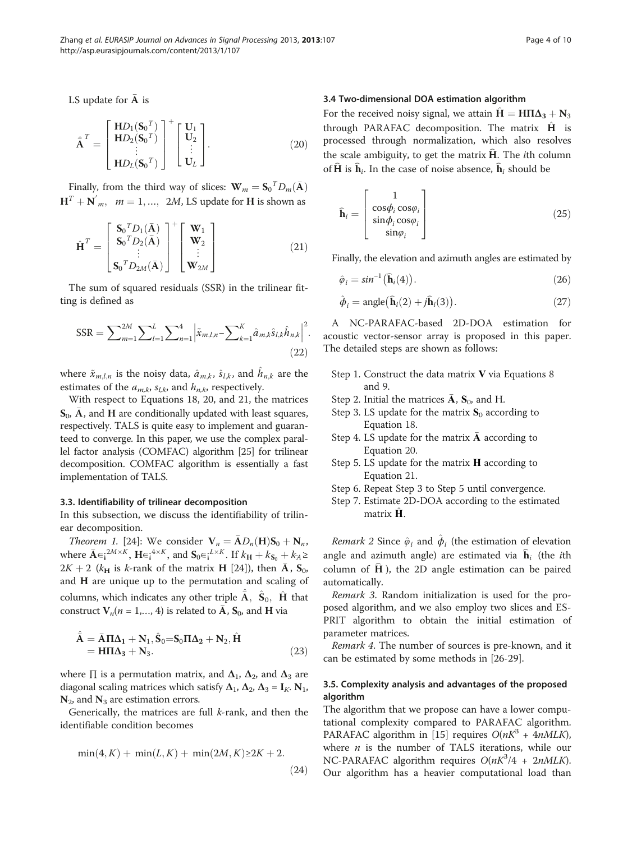LS update for  $\bar{A}$  is

$$
\hat{\mathbf{A}}^T = \begin{bmatrix} \mathbf{H}D_1(\mathbf{S}_0^T) \\ \mathbf{H}D_2(\mathbf{S}_0^T) \\ \vdots \\ \mathbf{H}D_L(\mathbf{S}_0^T) \end{bmatrix}^+ \begin{bmatrix} \mathbf{U}_1 \\ \mathbf{U}_2 \\ \vdots \\ \mathbf{U}_L \end{bmatrix} .
$$
 (20)

Finally, from the third way of slices:  $\mathbf{W}_m = \mathbf{S}_0^T D_m(\overline{\mathbf{A}})$  $\mathbf{H}^T + \mathbf{N}'_m$ ,  $m = 1, ..., 2M$ , LS update for **H** is shown as

$$
\hat{\mathbf{H}}^T = \begin{bmatrix} \mathbf{S}_0^T D_1(\bar{\mathbf{A}}) \\ \mathbf{S}_0^T D_2(\bar{\mathbf{A}}) \\ \vdots \\ \mathbf{S}_0^T D_{2M}(\bar{\mathbf{A}}) \end{bmatrix}^+ \begin{bmatrix} \mathbf{W}_1 \\ \mathbf{W}_2 \\ \vdots \\ \mathbf{W}_{2M} \end{bmatrix}
$$
(21)

The sum of squared residuals (SSR) in the trilinear fitting is defined as

$$
SSR = \sum_{m=1}^{2M} \sum_{l=1}^{L} \sum_{n=1}^{4} \left| \tilde{x}_{m,l,n} - \sum_{k=1}^{K} \hat{a}_{m,k} \hat{s}_{l,k} \hat{h}_{n,k} \right|^2.
$$
\n(22)

where  $\tilde x_{m,l,n}$  is the noisy data,  $\hat a_{m,k}, \, \hat s_{l,k},$  and  $\hat h_{n,k}$  are the estimates of the  $a_{m,k}$ ,  $s_{l,k}$ , and  $h_{n,k}$ , respectively.

With respect to Equations 18, 20, and 21, the matrices  $S_0$ ,  $\overline{A}$ , and H are conditionally updated with least squares, respectively. TALS is quite easy to implement and guaranteed to converge. In this paper, we use the complex parallel factor analysis (COMFAC) algorithm [\[25\]](#page-9-0) for trilinear decomposition. COMFAC algorithm is essentially a fast implementation of TALS.

#### 3.3. Identifiability of trilinear decomposition

In this subsection, we discuss the identifiability of trilinear decomposition.

*Theorem 1.* [[24\]](#page-9-0): We consider  $V_n = \overline{A}D_n(H)S_0 + N_n$ , where  $\bar{A} \in j^{2M \times K}$ ,  $H \in j^{4 \times K}$ , and  $S_0 \in j^{L \times K}$ . If  $k_H + k_{S_0} + k_A \ge 2K + 2$ ,  $(k_{\text{min}} k_{\text{rank}})$  of the matrix **H** [24]), then  $\bar{A}$  $2K + 2$  ( $k_H$  is k-rank of the matrix **H** [[24](#page-9-0)]), then  $\bar{A}$ , **S**<sub>0</sub>, and H are unique up to the permutation and scaling of columns, which indicates any other triple  $\hat{\bar{\mathbf{A}}}, \ \hat{\mathbf{S}}_{0}, \ \hat{\mathbf{H}}$  that construct  $V_n(n = 1,..., 4)$  is related to  $\bar{A}$ ,  $S_0$ , and H via

$$
\hat{\overline{A}} = \overline{A}\Pi\Delta_1 + N_1, \hat{S}_0 = S_0\Pi\Delta_2 + N_2, \hat{H}
$$
  
=  $H\Pi\Delta_3 + N_3.$  (23)

where  $\Pi$  is a permutation matrix, and  $\Delta_1$ ,  $\Delta_2$ , and  $\Delta_3$  are diagonal scaling matrices which satisfy  $\Delta_1$ ,  $\Delta_2$ ,  $\Delta_3$  = I<sub>K</sub>. N<sub>1</sub>,  $N_2$ , and  $N_3$  are estimation errors.

Generically, the matrices are full k-rank, and then the identifiable condition becomes

$$
\min(4,K)+\min(L,K)+\min(2M,K){\geq}2K+2.\eqno(24)
$$

#### 3.4 Two-dimensional DOA estimation algorithm

For the received noisy signal, we attain  $\hat{H} = H\Pi\Delta_3 + N_3$ through PARAFAC decomposition. The matrix  $\hat{H}$  is processed through normalization, which also resolves the scale ambiguity, to get the matrix  $\widehat{H}$ . The *i*th column of  $\widehat{H}$  is  $\widehat{h}_i$ . In the case of noise absence,  $\widehat{h}_i$  should be

$$
\hat{\mathbf{h}}_i = \begin{bmatrix} 1 \\ \cos \phi_i \cos \phi_i \\ \sin \phi_i \cos \phi_i \\ \sin \phi_i \end{bmatrix}
$$
\n(25)

Finally, the elevation and azimuth angles are estimated by

$$
\hat{\varphi}_i = \sin^{-1}\left(\hat{\mathbf{h}}_i(4)\right). \tag{26}
$$

$$
\hat{\phi}_i = \text{angle}(\hat{\mathbf{h}}_i(2) + j\hat{\mathbf{h}}_i(3)).
$$
\n(27)

A NC-PARAFAC-based 2D-DOA estimation for acoustic vector-sensor array is proposed in this paper. The detailed steps are shown as follows:

- Step 1. Construct the data matrix V via Equations 8 and 9.
- Step 2. Initial the matrices  $\bar{\mathbf{A}}$ ,  $\mathbf{S}_0$ , and H.
- Step 3. LS update for the matrix  $S_0$  according to Equation 18.
- Step 4. LS update for the matrix  $\overline{A}$  according to Equation 20.
- Step 5. LS update for the matrix H according to Equation 21.
- Step 6. Repeat Step 3 to Step 5 until convergence.
- Step 7. Estimate 2D-DOA according to the estimated matrix  $\hat{H}$ .

*Remark 2* Since  $\hat{\varphi}_i$  and  $\hat{\varphi}_i$  (the estimation of elevation angle and azimuth angle) are estimated via  $\hat{\mathbf{h}}_i$  (the *i*th column of  $\hat{H}$ ), the 2D angle estimation can be paired automatically.

Remark 3. Random initialization is used for the proposed algorithm, and we also employ two slices and ES-PRIT algorithm to obtain the initial estimation of parameter matrices.

Remark 4. The number of sources is pre-known, and it can be estimated by some methods in [[26](#page-9-0)-[29\]](#page-9-0).

## 3.5. Complexity analysis and advantages of the proposed algorithm

The algorithm that we propose can have a lower computational complexity compared to PARAFAC algorithm. PARAFAC algorithm in [\[15\]](#page-8-0) requires  $O(nK^3 + 4nMLK)$ , where  $n$  is the number of TALS iterations, while our NC-PARAFAC algorithm requires  $O(nK^3/4 + 2nMLK)$ . Our algorithm has a heavier computational load than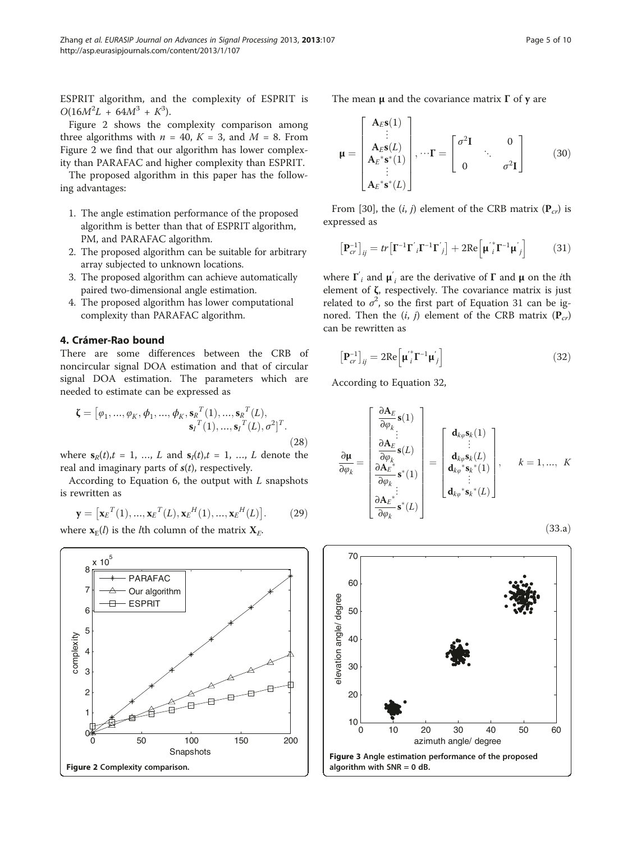<span id="page-4-0"></span>ESPRIT algorithm, and the complexity of ESPRIT is  $O(16M^2L + 64M^3 + K^3).$ 

Figure 2 shows the complexity comparison among three algorithms with  $n = 40$ ,  $K = 3$ , and  $M = 8$ . From Figure 2 we find that our algorithm has lower complexity than PARAFAC and higher complexity than ESPRIT.

The proposed algorithm in this paper has the following advantages:

- 1. The angle estimation performance of the proposed algorithm is better than that of ESPRIT algorithm, PM, and PARAFAC algorithm.
- 2. The proposed algorithm can be suitable for arbitrary array subjected to unknown locations.
- 3. The proposed algorithm can achieve automatically paired two-dimensional angle estimation.
- 4. The proposed algorithm has lower computational complexity than PARAFAC algorithm.

## 4. Crámer-Rao bound

There are some differences between the CRB of noncircular signal DOA estimation and that of circular signal DOA estimation. The parameters which are needed to estimate can be expressed as

$$
\mathbf{\zeta} = [\varphi_1, ..., \varphi_K, \phi_1, ..., \phi_K, \mathbf{s}_R^T(1), ..., \mathbf{s}_R^T(L), \n\mathbf{s}_I^T(1), ..., \mathbf{s}_I^T(L), \sigma^2]^T.
$$
\n(28)

where  $s_R(t)$ ,  $t = 1$ , ..., L and  $s_I(t)$ ,  $t = 1$ , ..., L denote the real and imaginary parts of  $s(t)$ , respectively.

According to Equation 6, the output with  $L$  snapshots is rewritten as

$$
\mathbf{y} = [\mathbf{x}_E^T(1), ..., \mathbf{x}_E^T(L), \mathbf{x}_E^H(1), ..., \mathbf{x}_E^H(L)].
$$
 (29)

where  $\mathbf{x}_{E}(l)$  is the *l*th column of the matrix  $\mathbf{X}_{E}$ .



The mean  $\mu$  and the covariance matrix  $\Gamma$  of y are

$$
\mu = \begin{bmatrix} A_E \mathbf{s}(1) \\ \vdots \\ A_E \mathbf{s}(L) \\ A_E \mathbf{s}^{*} \mathbf{s}^{*}(1) \\ \vdots \\ A_E \mathbf{s}^{*} \mathbf{s}^{*}(L) \end{bmatrix}, \dots \mathbf{\Gamma} = \begin{bmatrix} \sigma^2 \mathbf{I} & 0 \\ 0 & \ddots \\ 0 & \sigma^2 \mathbf{I} \end{bmatrix}
$$
(30)

From [\[30](#page-9-0)], the  $(i, j)$  element of the CRB matrix  $(\mathbf{P}_{cr})$  is expressed as

$$
\left[\mathbf{P}_{cr}^{-1}\right]_{ij} = tr\left[\mathbf{\Gamma}^{-1}\mathbf{\Gamma}^{'}_{i}\mathbf{\Gamma}^{-1}\mathbf{\Gamma}^{'}_{j}\right] + 2\text{Re}\left[\mathbf{\mu}^{'}_{i}\mathbf{\Gamma}^{-1}\mathbf{\mu}^{'}_{j}\right] \tag{31}
$$

where  $\Gamma'$ <sub>i</sub> and  $\mu'$ <sub>i</sub> are the derivative of  $\Gamma$  and  $\mu$  on the *i*th element of  $\zeta$ , respectively. The covariance matrix is just related to  $\sigma^2$ , so the first part of Equation 31 can be ignored. Then the  $(i, j)$  element of the CRB matrix  $(\mathbf{P}_{cr})$ can be rewritten as

$$
\left[\mathbf{P}_{cr}^{-1}\right]_{ij} = 2\text{Re}\left[\mathbf{\mu}_{i}^{*}\mathbf{\Gamma}^{-1}\mathbf{\mu}_{j}^{'}\right]
$$
\n(32)

According to Equation 32,

$$
\frac{\partial \mu}{\partial \varphi_k} = \begin{bmatrix} \frac{\partial A_E}{\partial \varphi_k} \mathbf{s}(1) \\ \frac{\partial A_E}{\partial \varphi_k} \mathbf{s}(L) \\ \frac{\partial A_E^*}{\partial \varphi_k} \mathbf{s}^*(1) \\ \frac{\partial A_E^*}{\partial \varphi_k} \mathbf{s}^*(1) \end{bmatrix} = \begin{bmatrix} \mathbf{d}_{k\varphi} \mathbf{s}_k(1) \\ \vdots \\ \mathbf{d}_{k\varphi} \mathbf{s}_k(L) \\ \mathbf{d}_{k\varphi} \mathbf{s}_k^{*}(1) \\ \vdots \\ \mathbf{d}_{k\varphi} \mathbf{s}_k^{*}(L) \end{bmatrix}, \quad k = 1, ..., K
$$
\n(33.1)

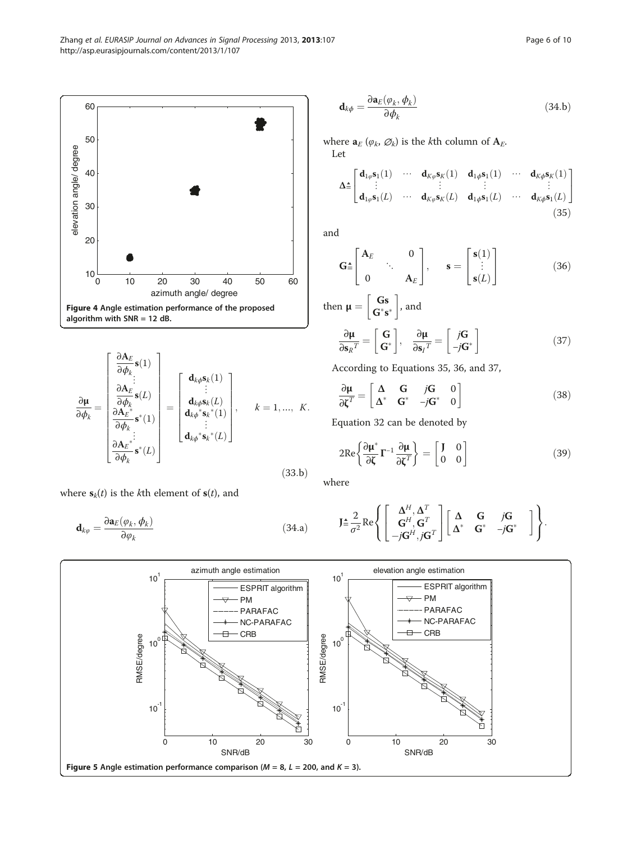where  $\mathbf{s}_k(t)$  is the kth element of  $\mathbf{s}(t)$ , and

 $\mathbf{s}^*(1)$ 

1

 $\sqrt{2}$ 

 $\begin{array}{c|c|c|c} \hline \multicolumn{1}{|c|}{1} & \multicolumn{1}{|c|}{1} & \multicolumn{1}{|c|}{1} & \multicolumn{1}{|c|}{1} & \multicolumn{1}{|c|}{1} & \multicolumn{1}{|c|}{1} & \multicolumn{1}{|c|}{1} & \multicolumn{1}{|c|}{1} & \multicolumn{1}{|c|}{1} & \multicolumn{1}{|c|}{1} & \multicolumn{1}{|c|}{1} & \multicolumn{1}{|c|}{1} & \multicolumn{1}{|c|}{1} & \multicolumn{1}{|c|}{1} & \multicolumn{1}{|$ 

 $\mathbf{s}^*(L)$ 

∂μ  $\partial \phi_k$ 

 $\partial A_E$  $\frac{\partial \mathbf{A}_E}{\partial \boldsymbol{\phi}_k}$ s $(1)$  $\frac{\vdots}{\partial \mathbf{A}_{E}}$  $\frac{\partial \mathbf{A}_E}{\partial \boldsymbol{\phi}_k}$ s $(L)$  $\partial A_{E}^{'^*}$  $\partial \phi_k$ 

 $\sqrt{2}$ 

**6** 

 $\stackrel{\cdot}{\partial {\mathbf{A}_E}^*}$  $\partial \phi_k$ 

$$
\mathbf{d}_{k\varphi} = \frac{\partial \mathbf{a}_E(\varphi_k, \phi_k)}{\partial \varphi_k} \tag{34.3}
$$

 $\mathbf{d}_{k\phi}\mathbf{s}_k(1)$ <br> $\vdots$ 

1

 $\frac{1}{2}$ 

 $k = 1, ..., K.$ 

 $(33.b)$ 

 $\mathbf{d}_{k\phi} \mathbf{s}_k(L)$ <br> $\mathbf{d}_{k\phi}^* \mathbf{s}_k^*(1)$ <br> $\vdots$ 

 $\mathbf{d}_{k\phi}^* \mathbf{s}_k^*(L)$ 

$$
\mathbf{d}_{k\phi} = \frac{\partial \mathbf{a}_E(\varphi_k, \phi_k)}{\partial \phi_k} \tag{34.b}
$$

where  $\mathbf{a}_E$  ( $\varphi_k$ ,  $\varnothing_k$ ) is the kth column of  $\mathbf{A}_E$ . Let

$$
\Delta \triangleq \begin{bmatrix}\n\mathbf{d}_{1\varphi}\mathbf{s}_1(1) & \cdots & \mathbf{d}_{K\varphi}\mathbf{s}_K(1) & \mathbf{d}_{1\varphi}\mathbf{s}_1(1) & \cdots & \mathbf{d}_{K\varphi}\mathbf{s}_K(1) \\
\vdots & \vdots & \vdots & \vdots \\
\mathbf{d}_{1\varphi}\mathbf{s}_1(L) & \cdots & \mathbf{d}_{K\varphi}\mathbf{s}_K(L) & \mathbf{d}_{1\varphi}\mathbf{s}_1(L) & \cdots & \mathbf{d}_{K\varphi}\mathbf{s}_1(L)\n\end{bmatrix}
$$
\n(35)

and

$$
\mathbf{G} \triangleq \begin{bmatrix} \mathbf{A}_E & 0 \\ 0 & \mathbf{A}_E \end{bmatrix}, \quad \mathbf{s} = \begin{bmatrix} \mathbf{s}(1) \\ \vdots \\ \mathbf{s}(L) \end{bmatrix} \tag{36}
$$

then 
$$
\mu = \begin{bmatrix} \mathbf{G}\mathbf{s} \\ \mathbf{G}^*\mathbf{s}^* \end{bmatrix}
$$
, and  
\n
$$
\frac{\partial \mu}{\partial \mathbf{s}_R^T} = \begin{bmatrix} \mathbf{G} \\ \mathbf{G}^* \end{bmatrix}, \quad \frac{\partial \mu}{\partial \mathbf{s}_I^T} = \begin{bmatrix} j\mathbf{G} \\ -j\mathbf{G}^* \end{bmatrix}
$$
\n(37)

According to Equations 35, 36, and 37,

$$
\frac{\partial \mu}{\partial \zeta^T} = \begin{bmatrix} \Delta & \mathbf{G} & j\mathbf{G} & 0\\ \Delta^* & \mathbf{G}^* & -j\mathbf{G}^* & 0 \end{bmatrix}
$$
(38)

Equation 32 can be denoted by

$$
2\text{Re}\left\{\frac{\partial \mu^*}{\partial \zeta}\Gamma^{-1}\frac{\partial \mu}{\partial \zeta^T}\right\} = \begin{bmatrix} J & 0\\ 0 & 0 \end{bmatrix}
$$
(39)

where

$$
\mathbf{J} \triangleq \frac{2}{\sigma^2} \text{Re} \left\{ \begin{bmatrix} \Delta^H, \Delta^T \\ \mathbf{G}^H, \mathbf{G}^T \\ -j\mathbf{G}^H, j\mathbf{G}^T \end{bmatrix} \begin{bmatrix} \Delta & \mathbf{G} & j\mathbf{G} \\ \Delta^* & \mathbf{G}^* & -j\mathbf{G}^* \end{bmatrix} \right\}.
$$



<span id="page-5-0"></span>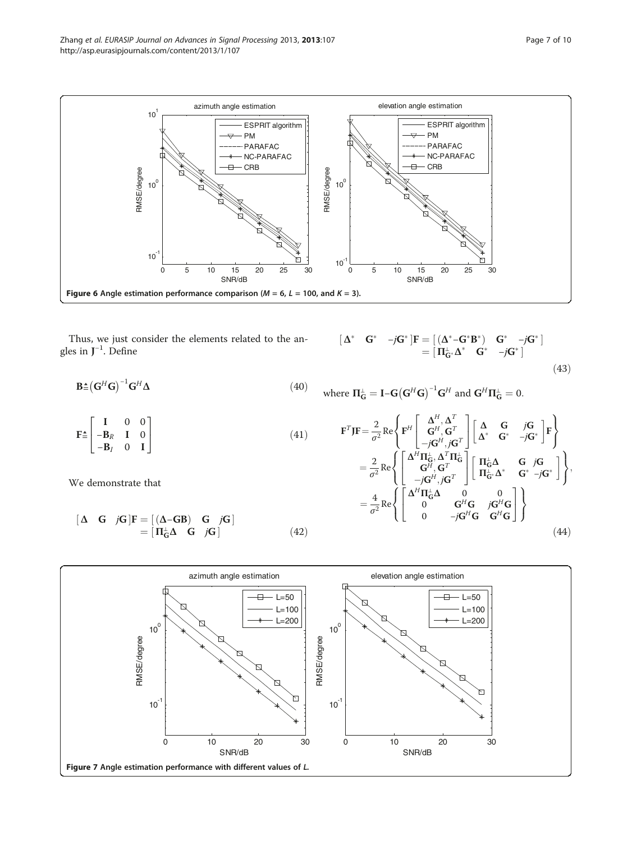<span id="page-6-0"></span>

Thus, we just consider the elements related to the angles in  $J^{-1}$ . Define

$$
\mathbf{B} \triangleq \left(\mathbf{G}^H \mathbf{G}\right)^{-1} \mathbf{G}^H \boldsymbol{\Delta} \tag{40}
$$

$$
\mathbf{F} \triangleq \begin{bmatrix} \mathbf{I} & 0 & 0 \\ -\mathbf{B}_R & \mathbf{I} & 0 \\ -\mathbf{B}_I & 0 & \mathbf{I} \end{bmatrix} \tag{41}
$$

We demonstrate that

$$
\begin{bmatrix} \Delta & \mathbf{G} & j\mathbf{G} \end{bmatrix} \begin{bmatrix} \mathbf{F} = [(\Delta - \mathbf{G}\mathbf{B}) \mathbf{G} & j\mathbf{G}] \\ = [\Pi_{\mathbf{G}}^{\perp} \Delta \mathbf{G} & j\mathbf{G}] \end{bmatrix} \tag{42}
$$

$$
\begin{bmatrix}\n\Delta^* & \mathbf{G}^* & -j\mathbf{G}^*\n\end{bmatrix}\n\begin{bmatrix}\n\mathbf{F} = \begin{bmatrix}\n(\Delta^* - \mathbf{G}^* \mathbf{B}^*) & \mathbf{G}^* & -j\mathbf{G}^*\n\end{bmatrix} \\
= \begin{bmatrix}\n\mathbf{\Pi}_{\mathbf{G}^*}^{\perp} \Delta^* & \mathbf{G}^* & -j\mathbf{G}^*\n\end{bmatrix}
$$
\n(43)

where 
$$
\Pi_G^{\perp} = \mathbf{I} - \mathbf{G} (\mathbf{G}^H \mathbf{G})^{-1} \mathbf{G}^H
$$
 and  $\mathbf{G}^H \Pi_G^{\perp} = 0$ .

$$
\mathbf{F}^{T}\mathbf{J}\mathbf{F} = \frac{2}{\sigma^{2}} \text{Re} \left\{ \mathbf{F}^{H} \begin{bmatrix} \mathbf{\Delta}^{H}, \mathbf{\Delta}^{T} \\ \mathbf{G}^{H}, \mathbf{G}^{T} \\ -j\mathbf{G}^{H}, j\mathbf{G}^{T} \end{bmatrix} \begin{bmatrix} \mathbf{\Delta} & \mathbf{G} & j\mathbf{G} \\ \mathbf{\Delta}^{*} & \mathbf{G}^{*} & -j\mathbf{G}^{*} \end{bmatrix} \mathbf{F} \right\}
$$

$$
= \frac{2}{\sigma^{2}} \text{Re} \left\{ \begin{bmatrix} \mathbf{\Delta}^{H}\mathbf{I}_{\mathbf{G}}^{H}, \mathbf{\Delta}^{T}\mathbf{I}_{\mathbf{G}}^{H} \\ \mathbf{G}^{H}, \mathbf{G}^{T} \\ -j\mathbf{G}^{H}, j\mathbf{G}^{T} \end{bmatrix} \begin{bmatrix} \mathbf{I}_{\mathbf{G}}^{H}, \mathbf{\Delta} & \mathbf{G} & j\mathbf{G} \\ \mathbf{I}_{\mathbf{G}}^{H}, \mathbf{\Delta}^{*} & \mathbf{G}^{*} & -j\mathbf{G}^{*} \end{bmatrix} \right\},
$$

$$
= \frac{4}{\sigma^{2}} \text{Re} \left\{ \begin{bmatrix} \mathbf{\Delta}^{H}\mathbf{I}_{\mathbf{G}}^{H}, \mathbf{\Delta}^{0} & 0 & 0 \\ 0 & \mathbf{G}^{H}\mathbf{G} & j\mathbf{G}^{H}\mathbf{G} \\ 0 & -j\mathbf{G}^{H}\mathbf{G} & \mathbf{G}^{H}\mathbf{G} \end{bmatrix} \right\}
$$
(44)

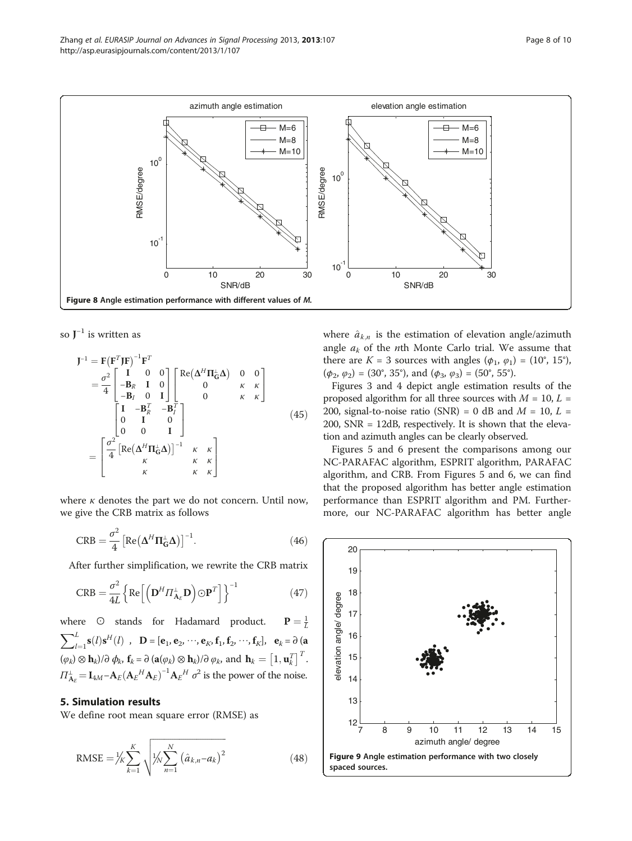<span id="page-7-0"></span>

so  $J^{-1}$  is written as

$$
\mathbf{J}^{-1} = \mathbf{F}(\mathbf{F}^{T}\mathbf{J}\mathbf{F})^{-1}\mathbf{F}^{T}
$$
  
\n
$$
= \frac{\sigma^{2}}{4} \begin{bmatrix} \mathbf{I} & \mathbf{0} & \mathbf{0} \\ -\mathbf{B}_{R} & \mathbf{I} & \mathbf{0} \\ -\mathbf{B}_{I} & \mathbf{0} & \mathbf{I} \end{bmatrix} \begin{bmatrix} \text{Re}(\mathbf{\Delta}^{H}\mathbf{\Pi}_{\mathbf{G}}^{+}\mathbf{\Delta}) & \mathbf{0} & \mathbf{0} \\ \mathbf{0} & \kappa & \kappa \\ \mathbf{0} & \mathbf{I} & \mathbf{0} \\ \mathbf{0} & \mathbf{0} & \mathbf{I} \end{bmatrix}
$$
  
\n
$$
= \begin{bmatrix} \frac{\sigma^{2}}{4} \begin{bmatrix} \text{Re}(\mathbf{\Delta}^{H}\mathbf{\Pi}_{\mathbf{G}}^{+}\mathbf{\Delta}) \end{bmatrix^{-1}} & \kappa & \kappa \\ \frac{\kappa}{\kappa} & \kappa & \kappa \\ \kappa & \kappa & \kappa \end{bmatrix}
$$
(45)

where  $\kappa$  denotes the part we do not concern. Until now, we give the CRB matrix as follows

$$
CRB = \frac{\sigma^2}{4} \left[ Re(\Delta^H \Pi_G^{\perp} \Delta) \right]^{-1}.
$$
 (46)

After further simplification, we rewrite the CRB matrix

$$
CRB = \frac{\sigma^2}{4L} \left\{ Re \left[ \left( \mathbf{D}^H \Pi_{\mathbf{A}_E}^{\perp} \mathbf{D} \right) \odot \mathbf{P}^T \right] \right\}^{-1}
$$
(47)

where  $\odot$  stands for Hadamard product.  $\sum_{l=1}^{L} s(l) s^{H}(l)$ ,  $D = [e_1, e_2, \dots, e_K, f_1, f_2, \dots, f_K], e_k = \partial (a)$  $P=\frac{1}{\tau}$  $\sum_{l=1}^{k} (n-k) \hat{i} \hat{j} = \sum_{k=1}^{k} (n-k) \hat{j} = \sum_{k=1}^{k} (n-k) \hat{j} = \sum_{k=1}^{k} (n-k) \hat{k}$  $\Pi_{\mathbf{A}_E}^{\perp} = \mathbf{I}_{4M} - \mathbf{A}_E (\mathbf{A}_E^H \mathbf{A}_E)^{-1} \mathbf{A}_E^H \sigma^2$  is the power of the noise.

### 5. Simulation results

We define root mean square error (RMSE) as

RMSE = 
$$
\frac{1}{K} \sum_{k=1}^{K} \sqrt{\frac{1}{N} \sum_{n=1}^{N} (\hat{a}_{k,n} - a_k)^2}
$$
 (48)

where  $\hat{a}_{k,n}$  is the estimation of elevation angle/azimuth angle  $a_k$  of the *n*th Monte Carlo trial. We assume that there are  $K = 3$  sources with angles  $(\phi_1, \phi_1) = (10^{\circ}, 15^{\circ})$ ,  $(\phi_2, \phi_2) = (30^\circ, 35^\circ)$ , and  $(\phi_3, \phi_3) = (50^\circ, 55^\circ)$ .

Figures [3](#page-4-0) and [4](#page-5-0) depict angle estimation results of the proposed algorithm for all three sources with  $M = 10$ ,  $L =$ 200, signal-to-noise ratio (SNR) = 0 dB and  $M = 10$ ,  $L =$ 200, SNR = 12dB, respectively. It is shown that the elevation and azimuth angles can be clearly observed.

Figures [5](#page-5-0) and [6](#page-6-0) present the comparisons among our NC-PARAFAC algorithm, ESPRIT algorithm, PARAFAC algorithm, and CRB. From Figures [5](#page-5-0) and [6,](#page-6-0) we can find that the proposed algorithm has better angle estimation performance than ESPRIT algorithm and PM. Furthermore, our NC-PARAFAC algorithm has better angle

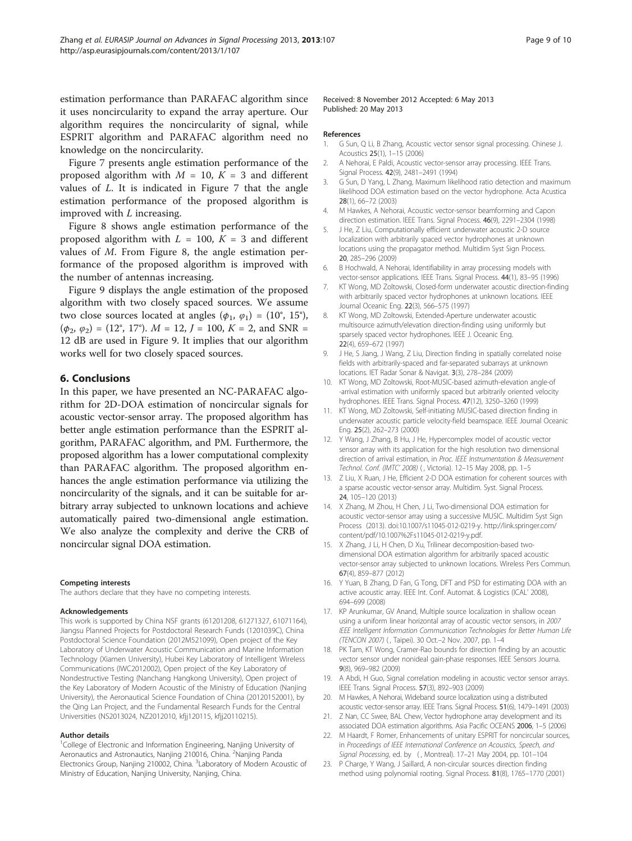<span id="page-8-0"></span>estimation performance than PARAFAC algorithm since it uses noncircularity to expand the array aperture. Our algorithm requires the noncircularity of signal, while ESPRIT algorithm and PARAFAC algorithm need no knowledge on the noncircularity.

Figure [7](#page-6-0) presents angle estimation performance of the proposed algorithm with  $M = 10$ ,  $K = 3$  and different values of L. It is indicated in Figure [7](#page-6-0) that the angle estimation performance of the proposed algorithm is improved with  $L$  increasing.

Figure [8](#page-7-0) shows angle estimation performance of the proposed algorithm with  $L = 100$ ,  $K = 3$  and different values of M. From Figure [8](#page-7-0), the angle estimation performance of the proposed algorithm is improved with the number of antennas increasing.

Figure [9](#page-7-0) displays the angle estimation of the proposed algorithm with two closely spaced sources. We assume two close sources located at angles  $(\phi_1, \phi_1) = (10^{\circ}, 15^{\circ}),$  $(\phi_2, \phi_2) = (12^{\circ}, 17^{\circ})$ .  $M = 12$ ,  $J = 100$ ,  $K = 2$ , and SNR = 12 dB are used in Figure [9.](#page-7-0) It implies that our algorithm works well for two closely spaced sources.

## 6. Conclusions

In this paper, we have presented an NC-PARAFAC algorithm for 2D-DOA estimation of noncircular signals for acoustic vector-sensor array. The proposed algorithm has better angle estimation performance than the ESPRIT algorithm, PARAFAC algorithm, and PM. Furthermore, the proposed algorithm has a lower computational complexity than PARAFAC algorithm. The proposed algorithm enhances the angle estimation performance via utilizing the noncircularity of the signals, and it can be suitable for arbitrary array subjected to unknown locations and achieve automatically paired two-dimensional angle estimation. We also analyze the complexity and derive the CRB of noncircular signal DOA estimation.

#### Competing interests

The authors declare that they have no competing interests.

#### Acknowledgements

This work is supported by China NSF grants (61201208, 61271327, 61071164), Jiangsu Planned Projects for Postdoctoral Research Funds (1201039C), China Postdoctoral Science Foundation (2012M521099), Open project of the Key Laboratory of Underwater Acoustic Communication and Marine Information Technology (Xiamen University), Hubei Key Laboratory of Intelligent Wireless Communications (IWC2012002), Open project of the Key Laboratory of Nondestructive Testing (Nanchang Hangkong University), Open project of the Key Laboratory of Modern Acoustic of the Ministry of Education (Nanjing University), the Aeronautical Science Foundation of China (20120152001), by the Qing Lan Project, and the Fundamental Research Funds for the Central Universities (NS2013024, NZ2012010, kfjj120115, kfjj20110215).

#### Author details

<sup>1</sup>College of Electronic and Information Engineering, Nanjing University of Aeronautics and Astronautics, Nanjing 210016, China. <sup>2</sup>Nanjing Panda Electronics Group, Nanjing 210002, China. <sup>3</sup>Laboratory of Modern Acoustic of Ministry of Education, Nanjing University, Nanjing, China.

Received: 8 November 2012 Accepted: 6 May 2013 Published: 20 May 2013

#### References

- 1. G Sun, Q Li, B Zhang, Acoustic vector sensor signal processing. Chinese J. Acoustics 25(1), 1–15 (2006)
- 2. A Nehorai, E Paldi, Acoustic vector-sensor array processing. IEEE Trans. Signal Process. 42(9), 2481–2491 (1994)
- 3. G Sun, D Yang, L Zhang, Maximum likelihood ratio detection and maximum likelihood DOA estimation based on the vector hydrophone. Acta Acustica 28(1), 66–72 (2003)
- 4. M Hawkes, A Nehorai, Acoustic vector-sensor beamforming and Capon direction estimation. IEEE Trans. Signal Process. 46(9), 2291–2304 (1998)
- 5. J He, Z Liu, Computationally efficient underwater acoustic 2-D source localization with arbitrarily spaced vector hydrophones at unknown locations using the propagator method. Multidim Syst Sign Process. 20, 285–296 (2009)
- 6. B Hochwald, A Nehorai, Identifiability in array processing models with vector-sensor applications. IEEE Trans. Signal Process. 44(1), 83–95 (1996)
- 7. KT Wong, MD Zoltowski, Closed-form underwater acoustic direction-finding with arbitrarily spaced vector hydrophones at unknown locations. IEEE Journal Oceanic Eng. 22(3), 566–575 (1997)
- 8. KT Wong, MD Zoltowski, Extended-Aperture underwater acoustic multisource azimuth/elevation direction-finding using uniformly but sparsely spaced vector hydrophones. IEEE J. Oceanic Eng. 22(4), 659–672 (1997)
- 9. J He, S Jiang, J Wang, Z Liu, Direction finding in spatially correlated noise fields with arbitrarily-spaced and far-separated subarrays at unknown locations. IET Radar Sonar & Navigat. 3(3), 278–284 (2009)
- 10. KT Wong, MD Zoltowski, Root-MUSIC-based azimuth-elevation angle-of -arrival estimation with uniformly spaced but arbitrarily oriented velocity hydrophones. IEEE Trans. Signal Process. 47(12), 3250–3260 (1999)
- 11. KT Wong, MD Zoltowski, Self-initiating MUSIC-based direction finding in underwater acoustic particle velocity-field beamspace. IEEE Journal Oceanic Eng. 25(2), 262–273 (2000)
- 12. Y Wang, J Zhang, B Hu, J He, Hypercomplex model of acoustic vector sensor array with its application for the high resolution two dimensional direction of arrival estimation, in Proc. IEEE Instrumentation & Measurement Technol. Conf. (IMTC' 2008) ( , Victoria). 12–15 May 2008, pp. 1–5
- 13. Z Liu, X Ruan, J He, Efficient 2-D DOA estimation for coherent sources with a sparse acoustic vector-sensor array. Multidim. Syst. Signal Process. 24, 105–120 (2013)
- 14. X Zhang, M Zhou, H Chen, J Li, Two-dimensional DOA estimation for acoustic vector-sensor array using a successive MUSIC. Multidim Syst Sign Process (2013). doi[:10.1007/s11045-012-0219-y](http://dx.doi.org/10.1007/s11045-012-0219-y)[. http://link.springer.com/](http://link.springer.com/content/pdf/10.1007%2Fs11045-012-0219-y.pdf) [content/pdf/10.1007%2Fs11045-012-0219-y.pdf.](http://link.springer.com/content/pdf/10.1007%2Fs11045-012-0219-y.pdf)
- 15. X Zhang, J Li, H Chen, D Xu, Trilinear decomposition-based twodimensional DOA estimation algorithm for arbitrarily spaced acoustic vector-sensor array subjected to unknown locations. Wireless Pers Commun. 67(4), 859–877 (2012)
- 16. Y Yuan, B Zhang, D Fan, G Tong, DFT and PSD for estimating DOA with an active acoustic array. IEEE Int. Conf. Automat. & Logistics (ICAL' 2008), 694–699 (2008)
- 17. KP Arunkumar, GV Anand, Multiple source localization in shallow ocean using a uniform linear horizontal array of acoustic vector sensors, in 2007 IEEE Intelligent Information Communication Technologies for Better Human Life (TENCON 2007) ( , Taipei). 30 Oct.–2 Nov. 2007, pp. 1–4
- 18. PK Tam, KT Wong, Cramer-Rao bounds for direction finding by an acoustic vector sensor under nonideal gain-phase responses. IEEE Sensors Journa. 9(8), 969–982 (2009)
- 19. A Abdi, H Guo, Signal correlation modeling in acoustic vector sensor arrays. IEEE Trans. Signal Process. 57(3), 892–903 (2009)
- 20. M Hawkes, A Nehorai, Wideband source localization using a distributed acoustic vector-sensor array. IEEE Trans. Signal Process. 51(6), 1479–1491 (2003)
- 21. Z Nan, CC Swee, BAL Chew, Vector hydrophone array development and its associated DOA estimation algorithms. Asia Pacific OCEANS 2006, 1–5 (2006)
- 22. M Haardt, F Romer, Enhancements of unitary ESPRIT for noncircular sources, in Proceedings of IEEE International Conference on Acoustics, Speech, and Signal Processing, ed. by ( , Montreal). 17–21 May 2004, pp. 101–104
- 23. P Charge, Y Wang, J Saillard, A non-circular sources direction finding method using polynomial rooting. Signal Process. 81(8), 1765–1770 (2001)